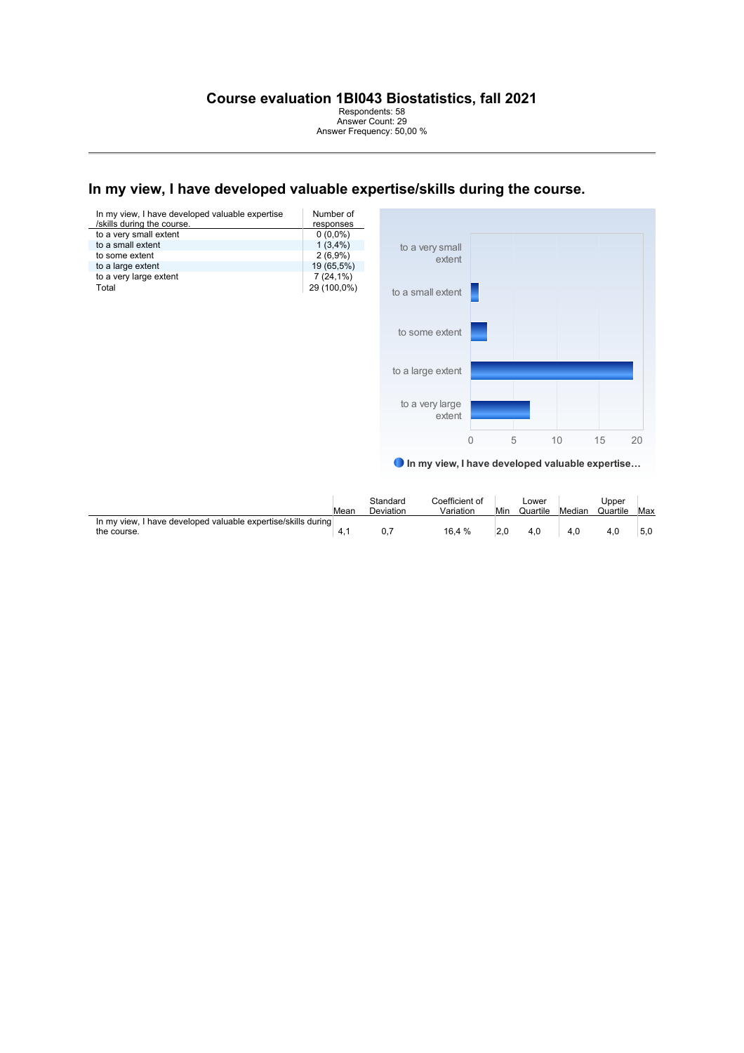Respondents: 58 Answer Count: 29 Answer Frequency: 50,00 %

# In my view, I have developed valuable expertise/skills during the course.

| In my view, I have developed valuable expertise<br>/skills during the course. | Number of<br>responses |
|-------------------------------------------------------------------------------|------------------------|
| to a very small extent                                                        | $0(0.0\%)$             |
| to a small extent                                                             | $1(3,4\%)$             |
| to some extent                                                                | $2(6,9\%)$             |
| to a large extent                                                             | 19 (65,5%)             |
| to a very large extent                                                        | $7(24,1\%)$            |
| Total                                                                         | 29 (100,0%)            |



In my view, I have developed valuable expertise…

|                                                                              | Mean | Standard<br>Deviation | Coefficient of<br>Variation | Min | Lower<br>Quartile | Median | Upper<br>Quartile | Max |
|------------------------------------------------------------------------------|------|-----------------------|-----------------------------|-----|-------------------|--------|-------------------|-----|
| In my view, I have developed valuable expertise/skills during<br>the course. |      |                       | 16.4 %                      |     | 4.0               | 4.0    |                   | 5.0 |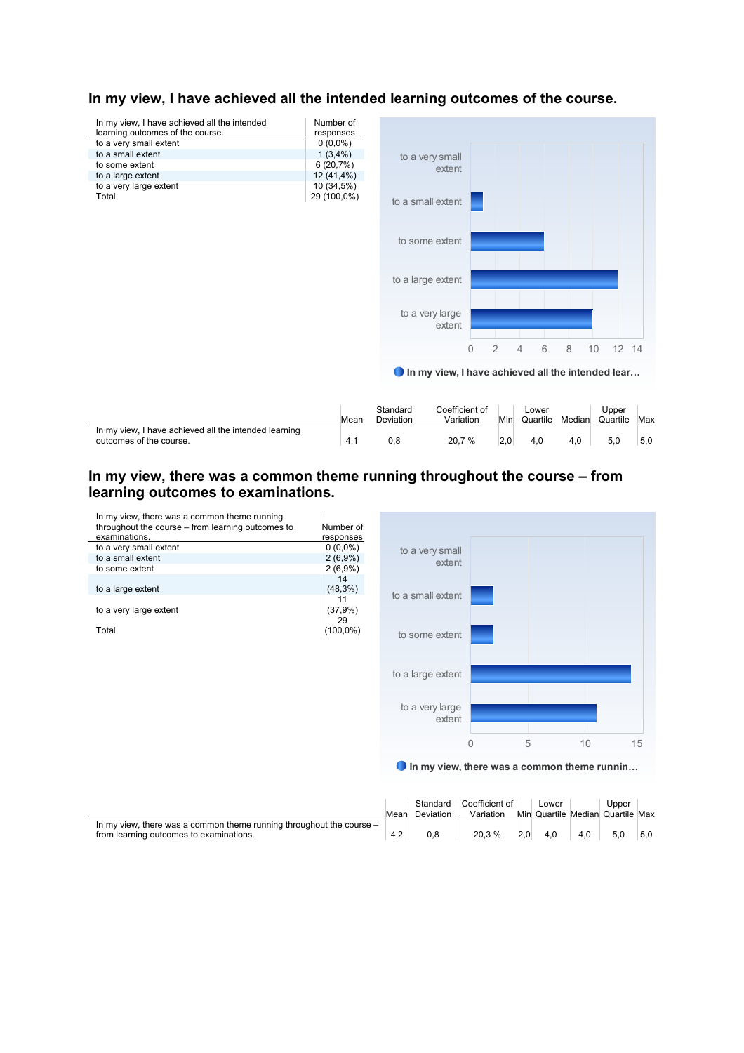

# In my view, I have achieved all the intended learning outcomes of the course.

|                                                                                  | Mear | Standard<br>Deviation | Coefficient of<br>Variation | Min | _ower<br>Quartile | Median | Upper<br>Quartile | Max |
|----------------------------------------------------------------------------------|------|-----------------------|-----------------------------|-----|-------------------|--------|-------------------|-----|
| In my view, I have achieved all the intended learning<br>outcomes of the course. | 4.1  | 0,8                   | 20,7 %                      |     |                   | 4.0    |                   | 5,0 |

# **In my view, there was a common theme running throughout the course – from learning outcomes to examinations.**



|                                                                        |      |           | Standard Coefficient of | Lower          |     | Upper                            |     |
|------------------------------------------------------------------------|------|-----------|-------------------------|----------------|-----|----------------------------------|-----|
|                                                                        | Mean | Deviation | Variation               |                |     | Min Quartile Median Quartile Max |     |
| In my view, there was a common theme running throughout the course $-$ |      |           |                         |                |     |                                  |     |
| from learning outcomes to examinations.                                | 4.2  | 0.8       | 20.3 %                  | $2.0\quad 4.0$ | 4.0 | 5.0                              | 5.0 |
|                                                                        |      |           |                         |                |     |                                  |     |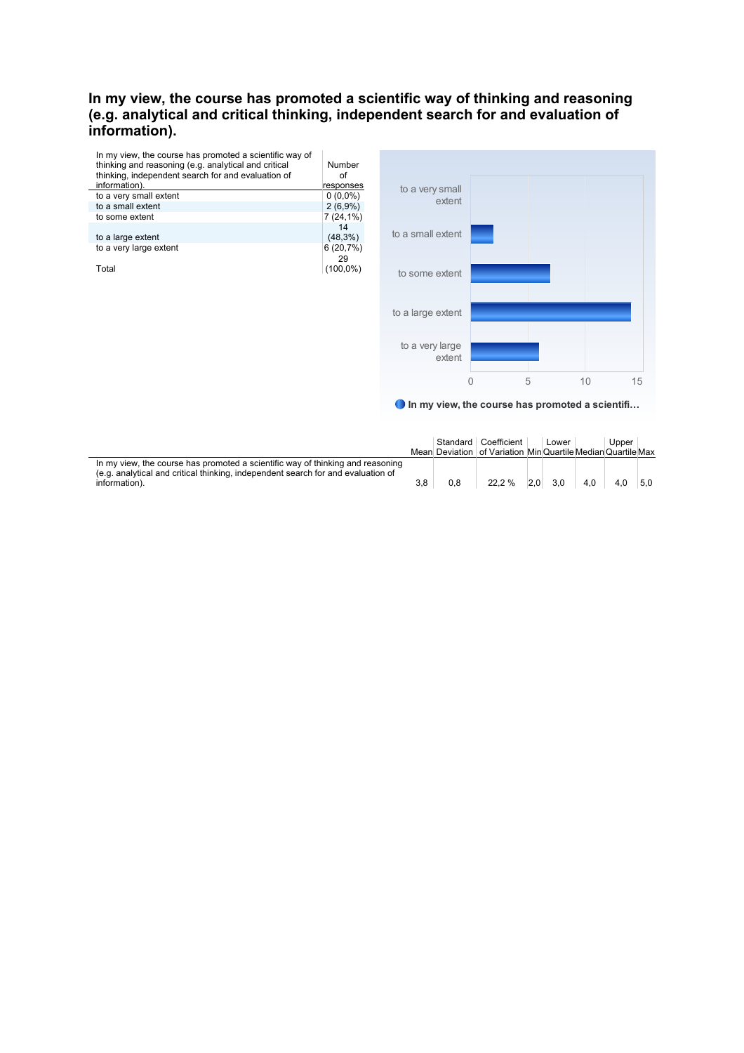# **In my view, the course has promoted a scientific way of thinking and reasoning (e.g. analytical and critical thinking, independent search for and evaluation of**  information).



In my view, the course has promoted a scientifi…

0 5 10 15

|                                                                                                                                                                                     |     |     | Standard Coefficient<br>Mean Deviation of Variation Min Quartile Median Quartile Max | Lower       |     | Upper |     |
|-------------------------------------------------------------------------------------------------------------------------------------------------------------------------------------|-----|-----|--------------------------------------------------------------------------------------|-------------|-----|-------|-----|
| In my view, the course has promoted a scientific way of thinking and reasoning<br>(e.g. analytical and critical thinking, independent search for and evaluation of<br>information). | 3.8 | 0.8 | 22.2 %                                                                               | $2.0\,$ 3.0 | 4.0 | 4.0   | 5.0 |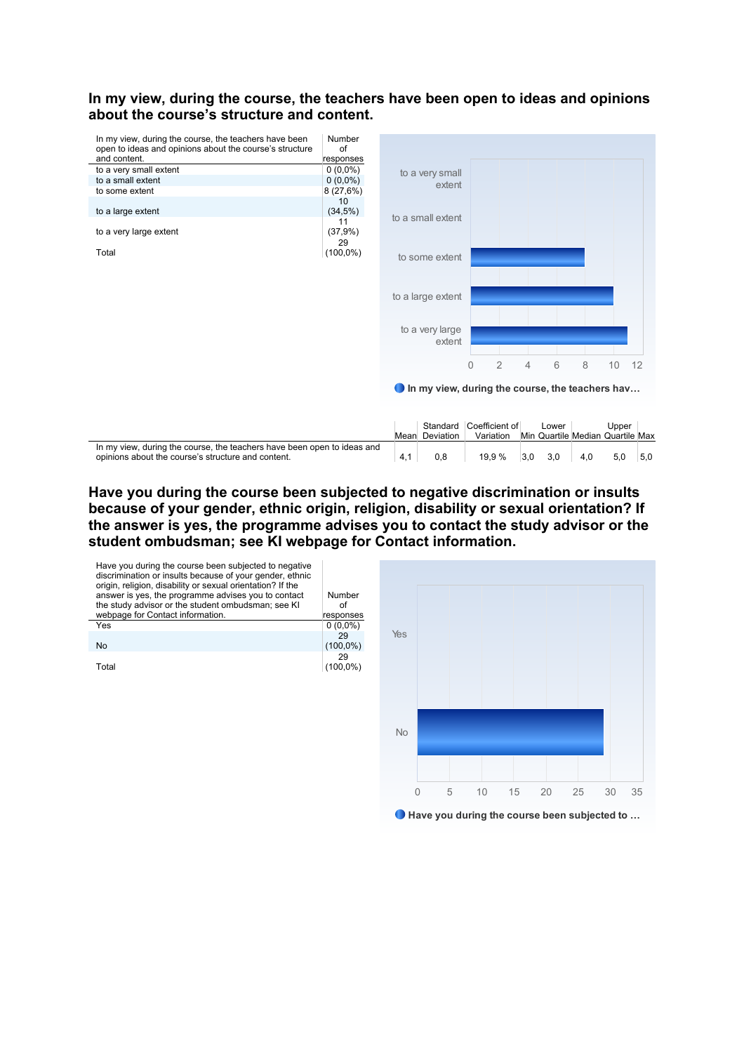#### **In my view, during the course, the teachers have been open to ideas and opinions about the course's structure and content.**



# **Have you during the course been subjected to negative discrimination or insults because of your gender, ethnic origin, religion, disability or sexual orientation? If the answer is yes, the programme advises you to contact the study advisor or the student ombudsman; see KI webpage for Contact information.**



Have you during the course been subjected to …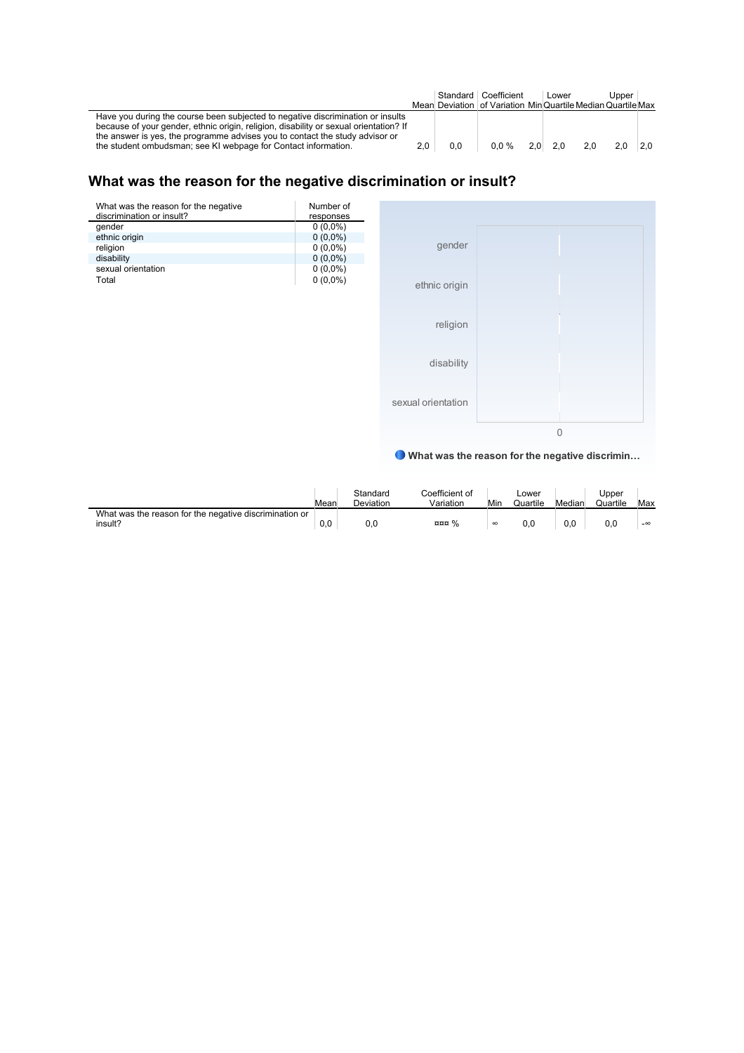|                                                                                                                                                                                                                                                                                                                            |     |     | Standard   Coefficient                                     | Lower          |     | Upper |     |
|----------------------------------------------------------------------------------------------------------------------------------------------------------------------------------------------------------------------------------------------------------------------------------------------------------------------------|-----|-----|------------------------------------------------------------|----------------|-----|-------|-----|
|                                                                                                                                                                                                                                                                                                                            |     |     | Mean Deviation of Variation MinQuartile MedianQuartile Max |                |     |       |     |
| Have you during the course been subjected to negative discrimination or insults<br>because of your gender, ethnic origin, religion, disability or sexual orientation? If<br>the answer is yes, the programme advises you to contact the study advisor or<br>the student ombudsman; see KI webpage for Contact information. | 2.0 | 0.0 | $0.0 \%$                                                   | $2.0\quad 2.0$ | 2.0 | 2.0   | 2.0 |

# **What was the reason for the negative discrimination or insult?**

| What was the reason for the negative<br>discrimination or insult? | Number of<br>responses |
|-------------------------------------------------------------------|------------------------|
| gender                                                            | $0(0,0\%)$             |
| ethnic origin                                                     | $0(0,0\%)$             |
| religion                                                          | $0(0,0\%)$             |
| disability                                                        | $0(0,0\%)$             |
| sexual orientation                                                | $0(0,0\%)$             |
| Total                                                             | $0(0,0\%)$             |
|                                                                   |                        |
|                                                                   |                        |
|                                                                   |                        |
|                                                                   |                        |
|                                                                   |                        |



What was the reason for the negative discrimin…

|                                                                   | Mear | Standard<br><b>Deviation</b> | Coefficient of<br>Variation | Min      | ∟ower<br>Quartile | Median   | Jpper<br>Quartile | Max       |
|-------------------------------------------------------------------|------|------------------------------|-----------------------------|----------|-------------------|----------|-------------------|-----------|
| What was the reason for the negative discrimination or<br>insult? | 0.0  | 0.0                          | nnn %                       | $\infty$ | 0.0               | $_{0,0}$ | 0.0               | $-\infty$ |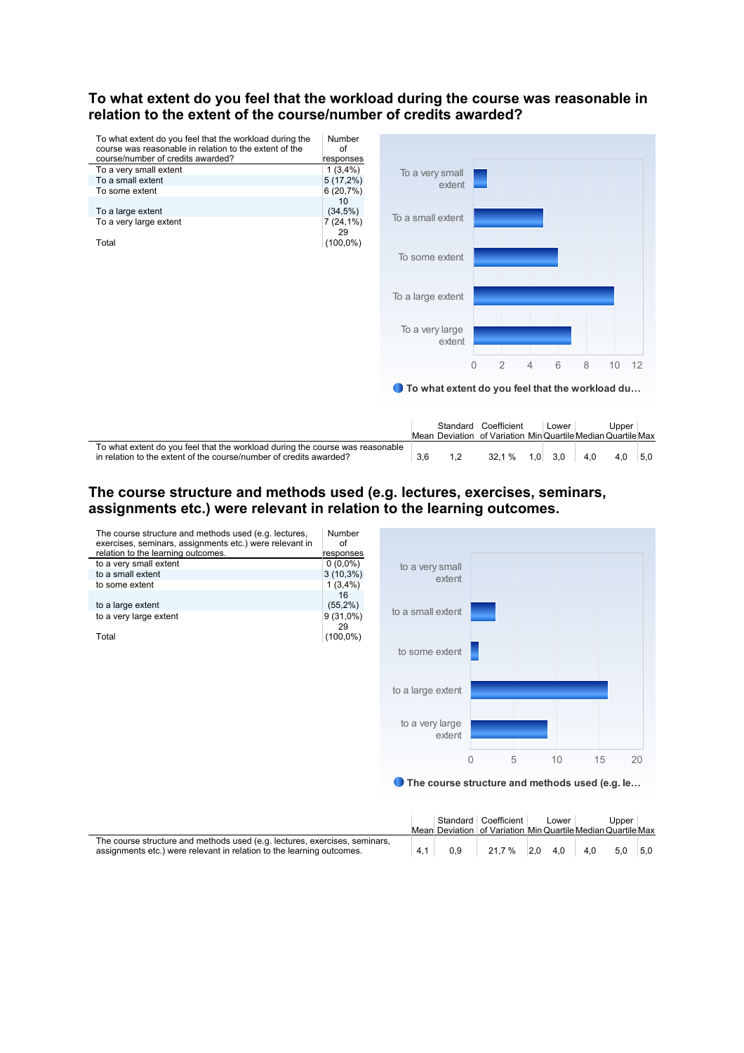#### **To what extent do you feel that the workload during the course was reasonable in relation to the extent of the course/number of credits awarded?**



|                                                                               | Standard | Coefficient                                                  |     | Lower |     | Jpper |     |
|-------------------------------------------------------------------------------|----------|--------------------------------------------------------------|-----|-------|-----|-------|-----|
|                                                                               |          | Mean Deviation of Variation Min Quartile Median Quartile Max |     |       |     |       |     |
| To what extent do you feel that the workload during the course was reasonable |          |                                                              |     |       |     |       |     |
| in relation to the extent of the course/number of credits awarded?            |          | 32.1<br>$\cdot$ %                                            | 1.0 | 3.0   | 4.0 | 4.0   | 5.0 |

# **The course structure and methods used (e.g. lectures, exercises, seminars, assignments etc.) were relevant in relation to the learning outcomes.**

| The course structure and methods used (e.g. lectures,<br>exercises, seminars, assignments etc.) were relevant in | <b>Number</b><br>of |                                                |                |   |    |    |    |
|------------------------------------------------------------------------------------------------------------------|---------------------|------------------------------------------------|----------------|---|----|----|----|
| relation to the learning outcomes.                                                                               | responses           |                                                |                |   |    |    |    |
| to a very small extent                                                                                           | $0(0,0\%)$          | to a very small                                |                |   |    |    |    |
| to a small extent                                                                                                | $3(10,3\%)$         | extent                                         |                |   |    |    |    |
| to some extent                                                                                                   | $1(3,4\%)$          |                                                |                |   |    |    |    |
| to a large extent                                                                                                | 16<br>(55,2%)       | to a small extent                              |                |   |    |    |    |
| to a very large extent                                                                                           | $9(31,0\%)$<br>29   |                                                |                |   |    |    |    |
| Total                                                                                                            | $(100,0\%)$         |                                                |                |   |    |    |    |
|                                                                                                                  |                     | to some extent                                 |                |   |    |    |    |
|                                                                                                                  |                     |                                                |                |   |    |    |    |
|                                                                                                                  |                     |                                                |                |   |    |    |    |
|                                                                                                                  |                     | to a large extent                              |                |   |    |    |    |
|                                                                                                                  |                     |                                                |                |   |    |    |    |
|                                                                                                                  |                     |                                                |                |   |    |    |    |
|                                                                                                                  |                     | to a very large                                |                |   |    |    |    |
|                                                                                                                  |                     | extent                                         |                |   |    |    |    |
|                                                                                                                  |                     |                                                | $\overline{0}$ | 5 | 10 | 15 | 20 |
|                                                                                                                  |                     |                                                |                |   |    |    |    |
|                                                                                                                  |                     | The course structure and methods used (e.g. le |                |   |    |    |    |
|                                                                                                                  |                     |                                                |                |   |    |    |    |

|                                                                                                                                                     |     | Standard Coefficient<br>Mean Deviation of Variation Min Quartile Median Quartile Max | Lower |     | Upper     |  |
|-----------------------------------------------------------------------------------------------------------------------------------------------------|-----|--------------------------------------------------------------------------------------|-------|-----|-----------|--|
| The course structure and methods used (e.g. lectures, exercises, seminars,<br>assignments etc.) were relevant in relation to the learning outcomes. | 0.9 | 21.7 % 2.0 4.0                                                                       |       | 4.0 | $5.0$ 5.0 |  |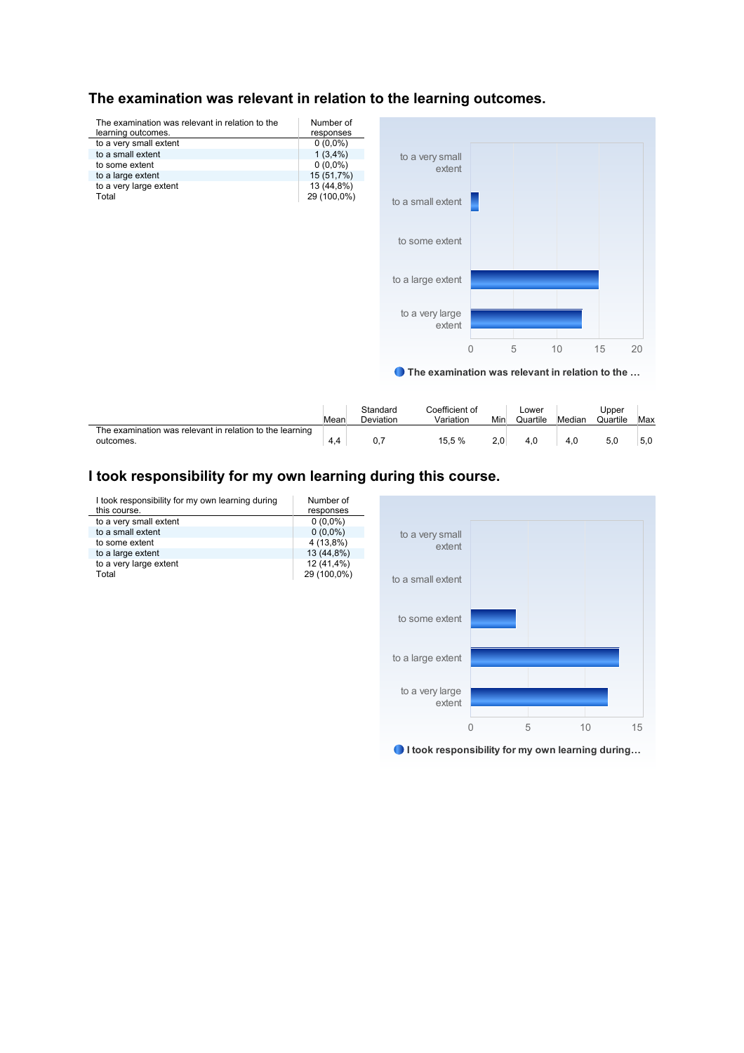# **The examination was relevant in relation to the learning outcomes.**



● The examination was relevant in relation to the ...

|                                                                       | Mean | Standard<br>Deviation | Coefficient of<br>Variation | Min | Lower<br>Quartile | Median | Jpper<br>Quartile | Max |
|-----------------------------------------------------------------------|------|-----------------------|-----------------------------|-----|-------------------|--------|-------------------|-----|
| The examination was relevant in relation to the learning<br>outcomes. | 4.4  | υ.,                   | 15.5 %                      | 2.0 | 4.0               |        |                   | 5,0 |

# **I took responsibility for my own learning during this course.**

| I took responsibility for my own learning during<br>this course. | Number of<br>responses |                                                  |                |   |    |    |
|------------------------------------------------------------------|------------------------|--------------------------------------------------|----------------|---|----|----|
| to a very small extent                                           | $0(0,0\%)$             |                                                  |                |   |    |    |
| to a small extent                                                | $0(0,0\%)$             | to a very small                                  |                |   |    |    |
| to some extent                                                   | 4 (13,8%)              | extent                                           |                |   |    |    |
| to a large extent                                                | 13 (44,8%)             |                                                  |                |   |    |    |
| to a very large extent                                           | 12 (41,4%)             |                                                  |                |   |    |    |
| Total                                                            | 29 (100,0%)            | to a small extent                                |                |   |    |    |
|                                                                  |                        |                                                  |                |   |    |    |
|                                                                  |                        |                                                  |                |   |    |    |
|                                                                  |                        |                                                  |                |   |    |    |
|                                                                  |                        | to some extent                                   |                |   |    |    |
|                                                                  |                        |                                                  |                |   |    |    |
|                                                                  |                        |                                                  |                |   |    |    |
|                                                                  |                        | to a large extent                                |                |   |    |    |
|                                                                  |                        |                                                  |                |   |    |    |
|                                                                  |                        |                                                  |                |   |    |    |
|                                                                  |                        | to a very large                                  |                |   |    |    |
|                                                                  |                        | extent                                           |                |   |    |    |
|                                                                  |                        |                                                  |                |   |    |    |
|                                                                  |                        |                                                  | $\overline{0}$ | 5 | 10 | 15 |
|                                                                  |                        |                                                  |                |   |    |    |
|                                                                  |                        |                                                  |                |   |    |    |
|                                                                  |                        | I took responsibility for my own learning during |                |   |    |    |
|                                                                  |                        |                                                  |                |   |    |    |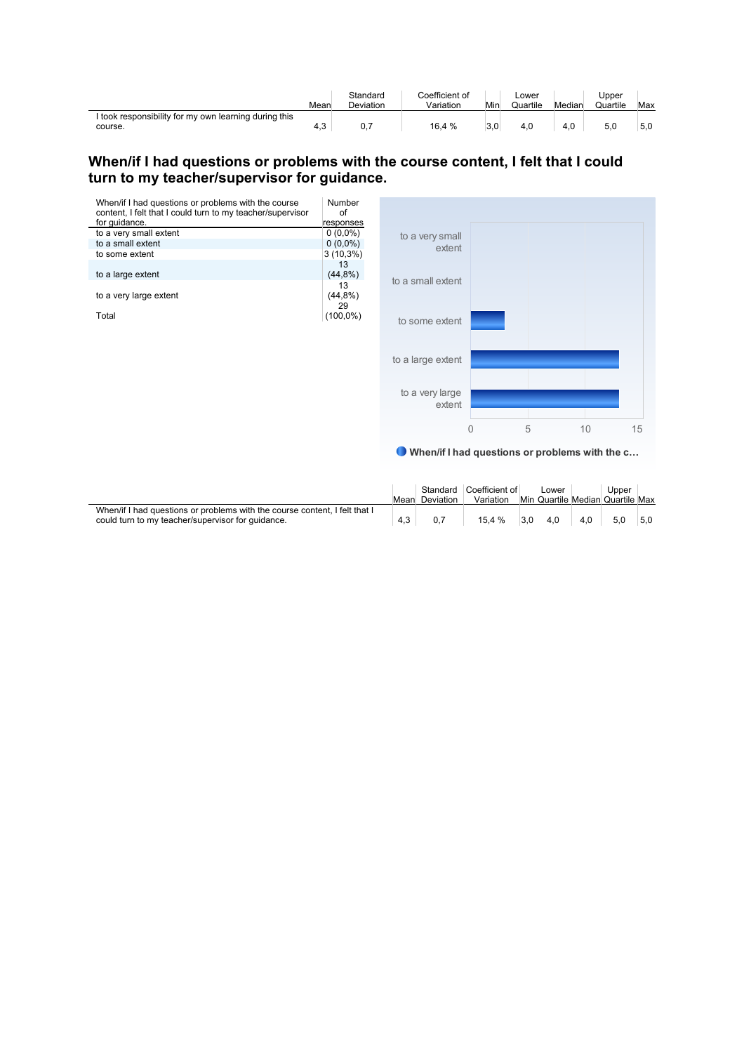|                                                                  | Mear | Standard<br><b>Deviation</b> | Coefficient of<br>Variation | Min | ∟ower<br>Quartile | Median | Jpper<br>Quartile | Max |
|------------------------------------------------------------------|------|------------------------------|-----------------------------|-----|-------------------|--------|-------------------|-----|
| I took responsibility for my own learning during this<br>course. | 4,3  | 0,7                          | 16.4 %                      | 3,0 | 4.0               | 4.0    | 5 C               | 5,0 |

# **When/if I had questions or problems with the course content, I felt that I could turn to my teacher/supervisor for guidance.**

| When/if I had questions or problems with the course        | Number      |                   |   |   |    |    |
|------------------------------------------------------------|-------------|-------------------|---|---|----|----|
| content, I felt that I could turn to my teacher/supervisor | of          |                   |   |   |    |    |
| for guidance.                                              | responses   |                   |   |   |    |    |
| to a very small extent                                     | $0(0,0\%)$  | to a very small   |   |   |    |    |
| to a small extent                                          | $0(0,0\%)$  | extent            |   |   |    |    |
| to some extent                                             | $3(10,3\%)$ |                   |   |   |    |    |
|                                                            | 13          |                   |   |   |    |    |
| to a large extent                                          | (44,8%)     | to a small extent |   |   |    |    |
|                                                            | 13          |                   |   |   |    |    |
| to a very large extent                                     | (44,8%)     |                   |   |   |    |    |
|                                                            | 29          |                   |   |   |    |    |
| Total                                                      | $(100,0\%)$ | to some extent    |   |   |    |    |
|                                                            |             |                   |   |   |    |    |
|                                                            |             |                   |   |   |    |    |
|                                                            |             |                   |   |   |    |    |
|                                                            |             | to a large extent |   |   |    |    |
|                                                            |             |                   |   |   |    |    |
|                                                            |             |                   |   |   |    |    |
|                                                            |             | to a very large   |   |   |    |    |
|                                                            |             | extent            |   |   |    |    |
|                                                            |             |                   |   |   |    |    |
|                                                            |             |                   |   | 5 | 10 |    |
|                                                            |             |                   | 0 |   |    | 15 |

When/if I had questions or problems with the c…

|                                                                            |      | Standard         | Coefficient of | Lower | Upper                            |     |
|----------------------------------------------------------------------------|------|------------------|----------------|-------|----------------------------------|-----|
|                                                                            | Mean | <b>Deviation</b> | Variation      |       | Min Quartile Median Quartile Max |     |
| When/if I had questions or problems with the course content. I felt that I |      |                  |                |       |                                  |     |
| could turn to my teacher/supervisor for quidance.                          | 4.3  |                  | 15.4 %         | 4.0   |                                  | 5.0 |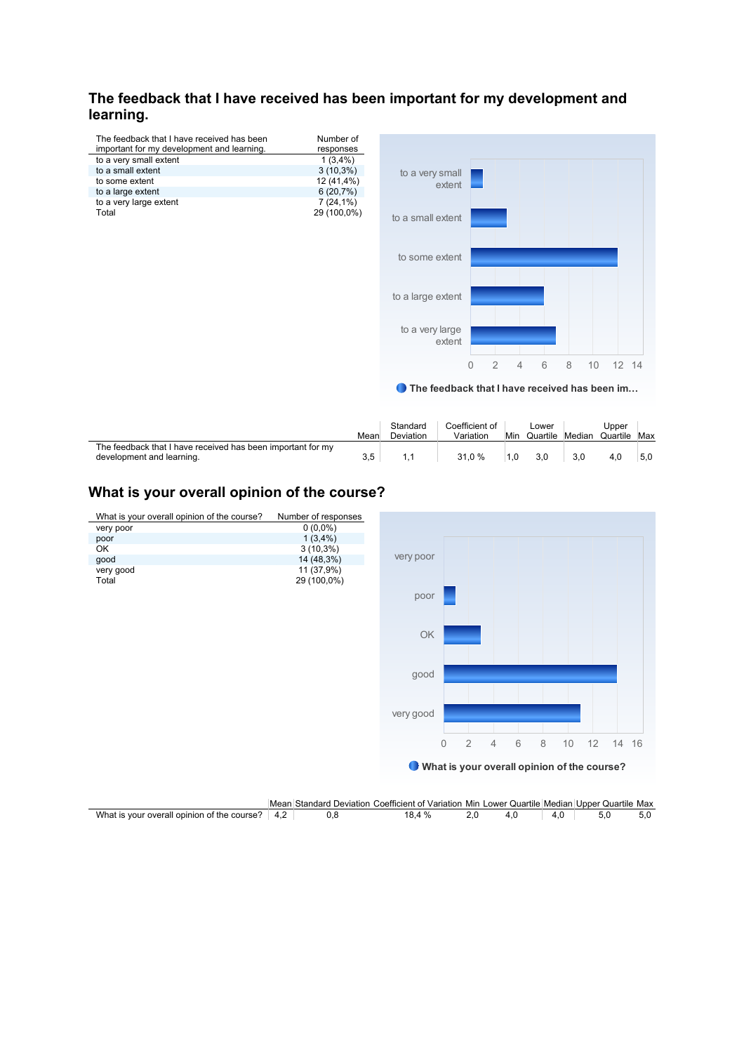# **The feedback that I have received has been important for my development and**  learning.

| The feedback that I have received has been | Number of   |
|--------------------------------------------|-------------|
| important for my development and learning. | responses   |
| to a very small extent                     | $1(3,4\%)$  |
| to a small extent                          | $3(10,3\%)$ |
| to some extent                             | 12 (41,4%)  |
| to a large extent                          | 6(20,7%)    |
| to a very large extent                     | $7(24,1\%)$ |
| Total                                      | 29 (100,0%) |



● The feedback that I have received has been im...

|                                                                                          | Mear | Standard<br><b>Deviation</b> | Coefficient of<br>Variation | Min | ∟ower<br>Quartile | Median | Jpper<br>Quartile | Max |
|------------------------------------------------------------------------------------------|------|------------------------------|-----------------------------|-----|-------------------|--------|-------------------|-----|
| The feedback that I have received has been important for my<br>development and learning. | 3.5  |                              | 31.0 %                      |     |                   | 3.0    |                   | 5.0 |

# **What is your overall opinion of the course?**



|                                                              | Mean            | Standard<br>Deviation | ∵Variation Min<br>Coefficient of | Lower<br>Quartile Median |     | Quartile Max<br>Upper |     |
|--------------------------------------------------------------|-----------------|-----------------------|----------------------------------|--------------------------|-----|-----------------------|-----|
| What is<br>course<br>opinion<br>ot the<br>∵overall ∩<br>VOUD | $\sqrt{ }$<br>. |                       | %                                |                          | 4.0 |                       | v.v |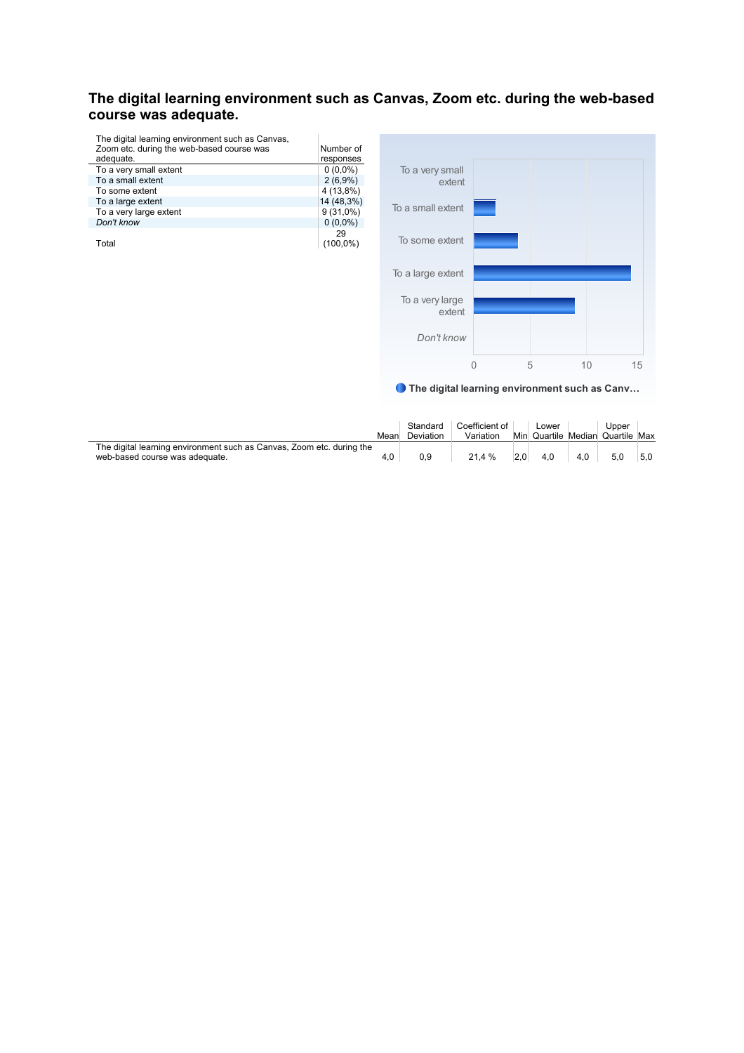# **The digital learning environment such as Canvas, Zoom etc. during the web-based course was adequate.**

| The digital learning environment such as Canvas, |             |
|--------------------------------------------------|-------------|
| Zoom etc. during the web-based course was        | Number of   |
| adequate.                                        | responses   |
| To a very small extent                           | $0(0,0\%)$  |
| To a small extent                                | $2(6,9\%)$  |
| To some extent                                   | 4 (13,8%)   |
| To a large extent                                | 14 (48,3%)  |
| To a very large extent                           | $9(31,0\%)$ |
| Don't know                                       | $0(0,0\%)$  |
|                                                  | 29          |
| Total                                            | (100.0%)    |



● The digital learning environment such as Canv...

|                                                                       | Mean | Standard<br>Deviation | Coefficient of<br>Variation |     | Lower |     | Upper<br>Min Quartile Median Quartile Max |     |
|-----------------------------------------------------------------------|------|-----------------------|-----------------------------|-----|-------|-----|-------------------------------------------|-----|
| The digital learning environment such as Canvas, Zoom etc. during the |      |                       |                             |     |       |     |                                           |     |
| web-based course was adequate.                                        | 4.0  |                       | 21.4%                       | 2.0 | 4.0   | 4.0 | 5.0                                       | 5.0 |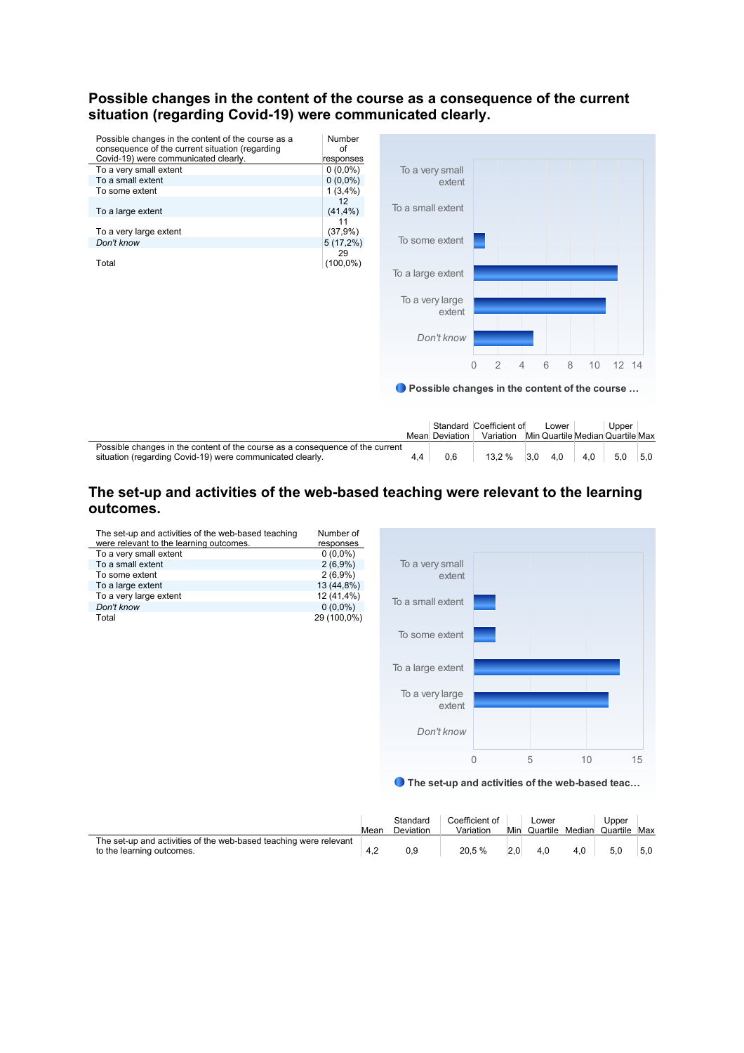#### **Possible changes in the content of the course as a consequence of the current situation (regarding Covid-19) were communicated clearly.**



|                                                                               |                | Standard Coefficient of | Lower |     | Upper                            |     |
|-------------------------------------------------------------------------------|----------------|-------------------------|-------|-----|----------------------------------|-----|
|                                                                               | Mean Deviation | Variation               |       |     | Min Quartile Median Quartile Max |     |
| Possible changes in the content of the course as a consequence of the current |                |                         |       |     |                                  |     |
| situation (regarding Covid-19) were communicated clearly.                     | 0.6            | $13.2\%$ 3.0            | 4.0   | 4.0 | 5.0                              | 5.0 |

# **The set-up and activities of the web-based teaching were relevant to the learning outcomes.**

| The set-up and activities of the web-based teaching<br>were relevant to the learning outcomes. | Number of<br>responses   |                                                 |          |   |    |    |
|------------------------------------------------------------------------------------------------|--------------------------|-------------------------------------------------|----------|---|----|----|
| To a very small extent                                                                         | $0(0,0\%)$               |                                                 |          |   |    |    |
| To a small extent                                                                              | $2(6,9\%)$               | To a very small                                 |          |   |    |    |
| To some extent                                                                                 | 2(6,9%)                  | extent                                          |          |   |    |    |
| To a large extent                                                                              | 13 (44,8%)               |                                                 |          |   |    |    |
| To a very large extent<br>Don't know                                                           | 12 (41,4%)<br>$0(0,0\%)$ | To a small extent                               |          |   |    |    |
| Total                                                                                          | 29 (100,0%)              |                                                 |          |   |    |    |
|                                                                                                |                          | To some extent                                  |          |   |    |    |
|                                                                                                |                          | To a large extent                               |          |   |    |    |
|                                                                                                |                          | To a very large<br>extent                       |          |   |    |    |
|                                                                                                |                          | Don't know                                      |          |   |    |    |
|                                                                                                |                          |                                                 | $\theta$ | 5 | 10 | 15 |
|                                                                                                |                          | The set-up and activities of the web-based teac |          |   |    |    |

|                                                                   | Mean | Standard<br>Deviation | Coefficient of<br>Variation | Min | _ower |     | Upper<br>Quartile Median Quartile Max |     |
|-------------------------------------------------------------------|------|-----------------------|-----------------------------|-----|-------|-----|---------------------------------------|-----|
| The set-up and activities of the web-based teaching were relevant |      |                       |                             |     |       |     |                                       |     |
| to the learning outcomes.                                         | 4.2  |                       | 20.5 %                      |     | 4.0   | 4.0 | 5.0                                   | 5.0 |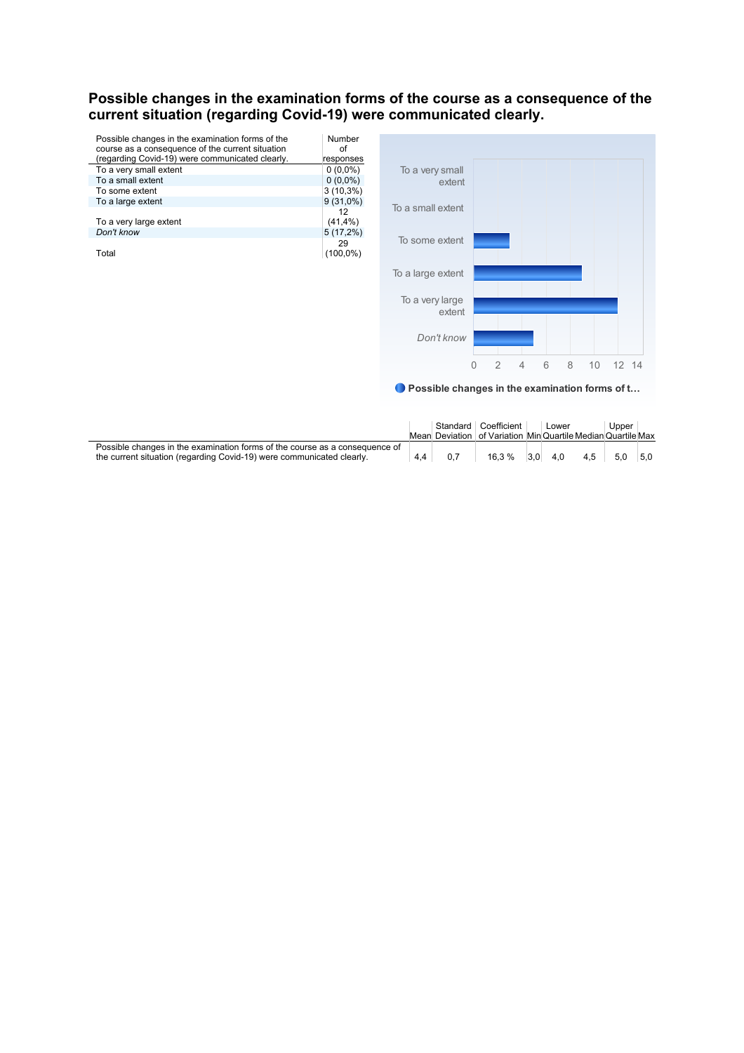#### **Possible changes in the examination forms of the course as a consequence of the current situation (regarding Covid-19) were communicated clearly.**

| Possible changes in the examination forms of the<br>course as a consequence of the current situation | Number<br>οf      |
|------------------------------------------------------------------------------------------------------|-------------------|
| (regarding Covid-19) were communicated clearly.                                                      | responses         |
| To a very small extent                                                                               | $0(0.0\%)$        |
| To a small extent                                                                                    | $0(0.0\%)$        |
| To some extent                                                                                       | $3(10,3\%)$       |
| To a large extent                                                                                    | $9(31,0\%)$       |
| To a very large extent                                                                               | 12<br>$(41, 4\%)$ |
| Don't know                                                                                           |                   |
|                                                                                                      | $5(17,2\%)$       |
| Total                                                                                                | 29<br>$(100,0\%)$ |



● Possible changes in the examination forms of t...

|                                                                             |    | Standard Coefficient                                         |     | ∟ower |     | Upper |     |
|-----------------------------------------------------------------------------|----|--------------------------------------------------------------|-----|-------|-----|-------|-----|
|                                                                             |    | Mean Deviation of Variation Min Quartile Median Quartile Max |     |       |     |       |     |
| Possible changes in the examination forms of the course as a consequence of |    |                                                              |     |       |     |       |     |
| the current situation (regarding Covid-19) were communicated clearly.       | 44 | 16.3 %                                                       | 3.0 | 4.0   | 4.5 | 5.0   | 5.0 |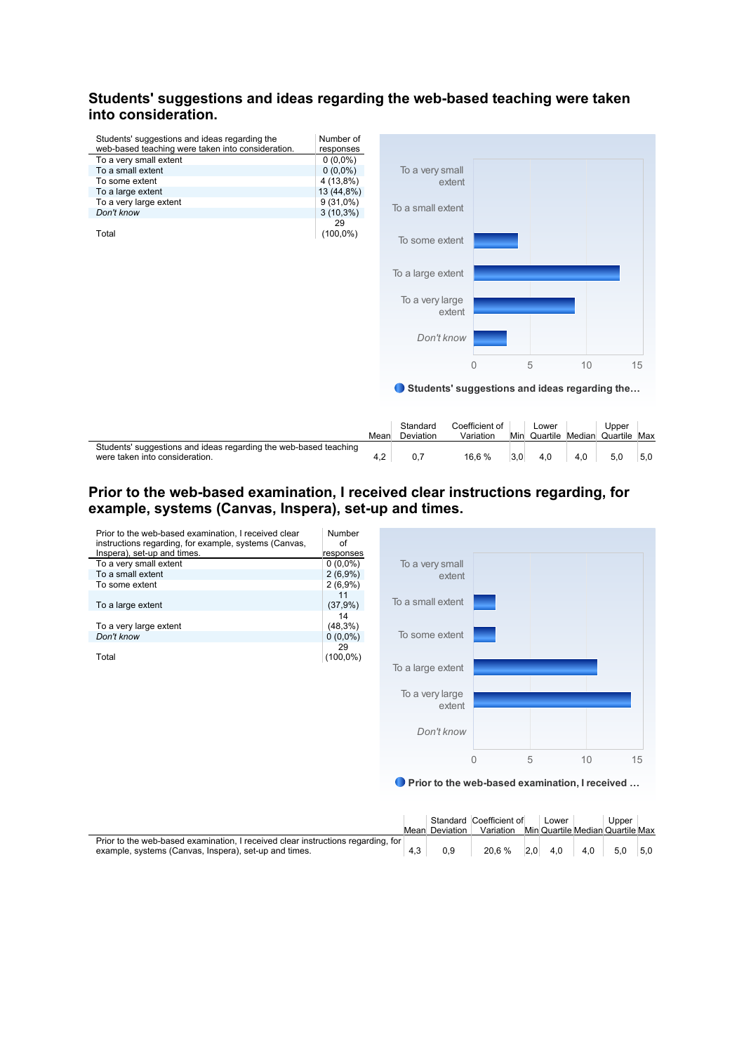# **Students' suggestions and ideas regarding the web-based teaching were taken into consideration.**

 $\overline{a}$ 

| Students' suggestions and ideas regarding the<br>web-based teaching were taken into consideration. | Number of<br>responses |                                               |   |   |    |    |
|----------------------------------------------------------------------------------------------------|------------------------|-----------------------------------------------|---|---|----|----|
| To a very small extent                                                                             | $0(0,0\%)$             |                                               |   |   |    |    |
| To a small extent                                                                                  | $0(0,0\%)$             | To a very small                               |   |   |    |    |
| To some extent                                                                                     | 4 (13,8%)              | extent                                        |   |   |    |    |
| To a large extent                                                                                  | 13 (44,8%)             |                                               |   |   |    |    |
| To a very large extent                                                                             | $9(31,0\%)$            |                                               |   |   |    |    |
| Don't know                                                                                         | $3(10,3\%)$            | To a small extent                             |   |   |    |    |
| Total                                                                                              | 29<br>$(100,0\%)$      | To some extent                                |   |   |    |    |
|                                                                                                    |                        | To a large extent                             |   |   |    |    |
|                                                                                                    |                        | To a very large<br>extent                     |   |   |    |    |
|                                                                                                    |                        | Don't know                                    |   |   |    |    |
|                                                                                                    |                        |                                               | 0 | 5 | 10 | 15 |
|                                                                                                    |                        | Students' suggestions and ideas regarding the |   |   |    |    |

|                                                                                                    | Mean | Standard<br>Deviation | Coefficient of<br>Variation | Min | _ower<br>Quartile | Upper<br>Median Quartile Max |     |
|----------------------------------------------------------------------------------------------------|------|-----------------------|-----------------------------|-----|-------------------|------------------------------|-----|
| Students' suggestions and ideas regarding the web-based teaching<br>were taken into consideration. | 4.2  |                       | 16.6 %                      |     | 4.0               | 5.0                          | 5.0 |

# **Prior to the web-based examination, I received clear instructions regarding, for example, systems (Canvas, Inspera), set-up and times.**



● Prior to the web-based examination, I received ...

|                                                                                  |                | Standard Coefficient of | Lower | Upper                            |  |
|----------------------------------------------------------------------------------|----------------|-------------------------|-------|----------------------------------|--|
|                                                                                  | Mean Deviation | Variation               |       | Min Quartile Median Quartile Max |  |
| Prior to the web-based examination, I received clear instructions regarding, for |                |                         |       |                                  |  |
| example, systems (Canvas, Inspera), set-up and times.                            | 0.9            | $20.6\%$ 2.0 4.0 4.0    |       | $5.0$ $5.0$                      |  |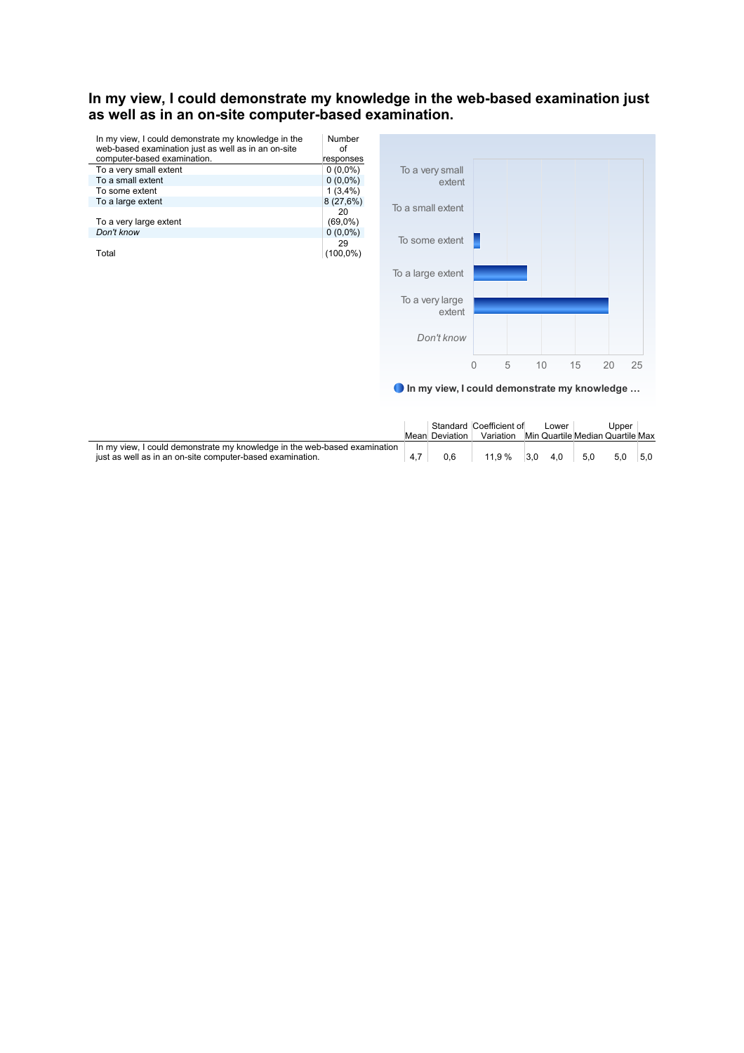#### **In my view, I could demonstrate my knowledge in the web-based examination just as well as in an on-site computer-based examination.**

| In my view, I could demonstrate my knowledge in the<br>web-based examination just as well as in an on-site | Number<br>Ωf |
|------------------------------------------------------------------------------------------------------------|--------------|
| computer-based examination.                                                                                | responses    |
| To a very small extent                                                                                     | $0(0,0\%)$   |
| To a small extent                                                                                          | $0(0.0\%)$   |
| To some extent                                                                                             | 1(3,4%)      |
| To a large extent                                                                                          | 8(27,6%)     |
|                                                                                                            | 20           |
| To a very large extent                                                                                     | $(69,0\%)$   |
| Don't know                                                                                                 | $0(0.0\%)$   |
|                                                                                                            | 29           |
| Total                                                                                                      | $(100,0\%)$  |



In my view, I could demonstrate my knowledge …

|                                                                           |                | Standard Coefficient of | _ower |     | Upper                            |     |
|---------------------------------------------------------------------------|----------------|-------------------------|-------|-----|----------------------------------|-----|
|                                                                           | Mean Deviation | Variation               |       |     | Min Quartile Median Quartile Max |     |
| In my view, I could demonstrate my knowledge in the web-based examination |                |                         |       |     |                                  |     |
| just as well as in an on-site computer-based examination.                 |                | $1.9 \%$                | 4.0   | 5.0 | 5.0                              | 5.0 |